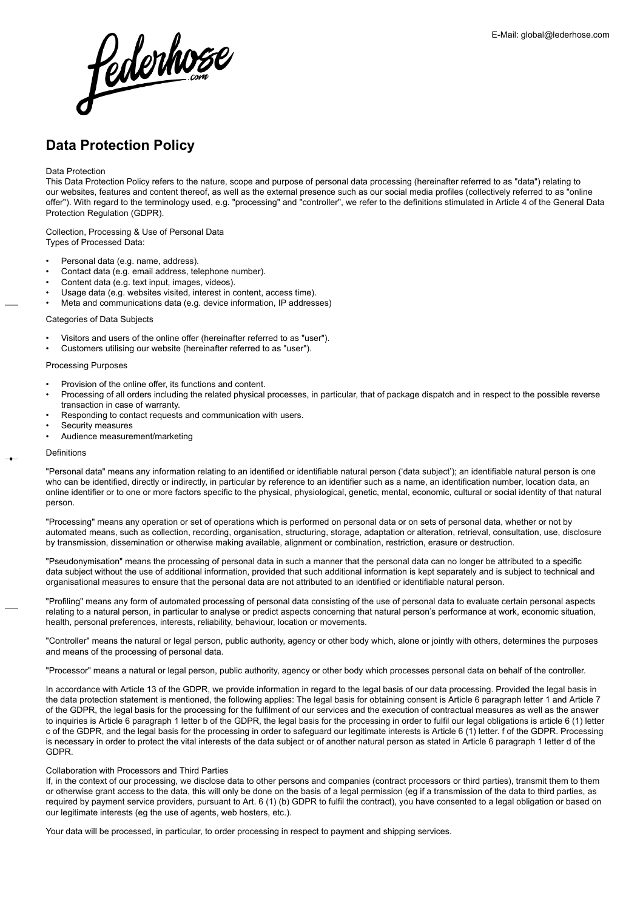<span id="page-0-0"></span>

# **Data Protection Policy**

# Data Protection

This Data Protection Policy refers to the nature, scope and purpose of personal data processing (hereinafter referred to as "data") relating to our websites, features and content thereof, as well as the external presence such as our social media profiles (collectively referred to as "online offer"). With regard to the terminology used, e.g. "processing" and "controller", we refer to the definitions stimulated in Article 4 of the General Data Protection Regulation (GDPR).

Collection, Processing & Use of Personal Data Types of Processed Data:

- Personal data (e.g. name, address).
- Contact data (e.g. email address, telephone number).
- Content data (e.g. text input, images, videos).
- Usage data (e.g. websites visited, interest in content, access time).
- Meta and communications data (e.g. device information, IP addresses)

# Categories of Data Subjects

- Visitors and users of the online offer (hereinafter referred to as "user").
- Customers utilising our website (hereinafter referred to as "user").

#### Processing Purposes

- Provision of the online offer, its functions and content.
- Processing of all orders including the related physical processes, in particular, that of package dispatch and in respect to the possible reverse transaction in case of warranty.
- Responding to contact requests and communication with users.
- Security measures
- Audience measurement/marketing

#### Definitions

"Personal data" means any information relating to an identified or identifiable natural person ('data subject'); an identifiable natural person is one who can be identified, directly or indirectly, in particular by reference to an identifier such as a name, an identification number, location data, an online identifier or to one or more factors specific to the physical, physiological, genetic, mental, economic, cultural or social identity of that natural person.

"Processing" means any operation or set of operations which is performed on personal data or on sets of personal data, whether or not by automated means, such as collection, recording, organisation, structuring, storage, adaptation or alteration, retrieval, consultation, use, disclosure by transmission, dissemination or otherwise making available, alignment or combination, restriction, erasure or destruction.

"Pseudonymisation" means the processing of personal data in such a manner that the personal data can no longer be attributed to a specific data subject without the use of additional information, provided that such additional information is kept separately and is subject to technical and organisational measures to ensure that the personal data are not attributed to an identified or identifiable natural person.

"Profiling" means any form of automated processing of personal data consisting of the use of personal data to evaluate certain personal aspects relating to a natural person, in particular to analyse or predict aspects concerning that natural person's performance at work, economic situation, health, personal preferences, interests, reliability, behaviour, location or movements.

"Controller" means the natural or legal person, public authority, agency or other body which, alone or jointly with others, determines the purposes and means of the processing of personal data.

"Processor" means a natural or legal person, public authority, agency or other body which processes personal data on behalf of the controller.

In accordance with Article 13 of the GDPR, we provide information in regard to the legal basis of our data processing. Provided the legal basis in the data protection statement is mentioned, the following applies: The legal basis for obtaining consent is Article 6 paragraph letter 1 and Article 7 of the GDPR, the legal basis for the processing for the fulfilment of our services and the execution of contractual measures as well as the answer to inquiries is Article 6 paragraph 1 letter b of the GDPR, the legal basis for the processing in order to fulfil our legal obligations is article 6 (1) letter c of the GDPR, and the legal basis for the processing in order to safeguard our legitimate interests is Article 6 (1) letter. f of the GDPR. Processing is necessary in order to protect the vital interests of the data subject or of another natural person as stated in Article 6 paragraph 1 letter d of the GDPR.

# Collaboration with Processors and Third Parties

If, in the context of our processing, we disclose data to other persons and companies (contract processors or third parties), transmit them to them or otherwise grant access to the data, this will only be done on the basis of a legal permission (eg if a transmission of the data to third parties, as required by payment service providers, pursuant to Art. 6 (1) (b) GDPR to fulfil the contract), you have consented to a legal obligation or based on our legitimate interests (eg the use of agents, web hosters, etc.).

Your data will be processed, in particular, to order processing in respect to payment and shipping services.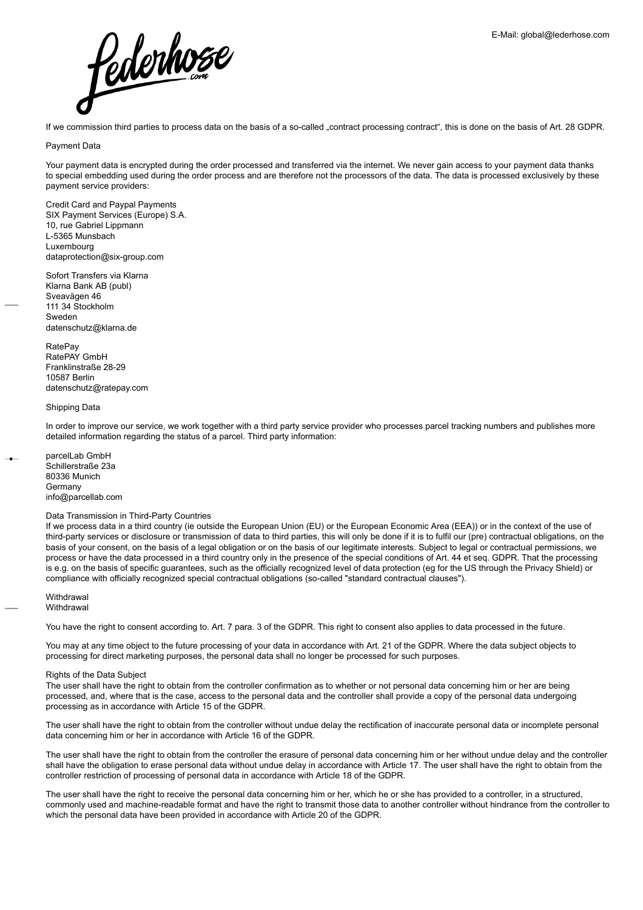

If we commission third parties to process data on the basis of a so-called "contract processing contract", this is done on the basis of Art. 28 GDPR.

# Payment Data

Your payment data is encrypted during the order processed and transferred via the internet. We never gain access to your payment data thanks to special embedding used during the order process and are therefore not the processors of the data. The data is processed exclusively by these payment service providers:

Credit Card and Paypal Payments SIX Payment Services (Europe) S.A. 10, rue Gabriel Lippmann L-5365 Munsbach Luxembourg dataprotection@six-group.com

Sofort Transfers via Klarna Klarna Bank AB (publ) Sveavägen 46 111 34 Stockholm Sweden datenschutz@klarna.de

**RatePay** RatePAY GmbH Franklinstraße 28-29 10587 Berlin datenschutz@ratepay.com

#### Shipping Data

In order to improve our service, we work together with a third party service provider who processes parcel tracking numbers and publishes more detailed information regarding the status of a parcel. Third party information:

parcelLab GmbH Schillerstraße 23a 80336 Munich **Germany** info@parcellab.com

# Data Transmission in Third-Party Countries

If we process data in a third country (ie outside the European Union (EU) or the European Economic Area (EEA)) or in the context of the use of third-party services or disclosure or transmission of data to third parties, this will only be done if it is to fulfil our (pre) contractual obligations, on the basis of your consent, on the basis of a legal obligation or on the basis of our legitimate interests. Subject to legal or contractual permissions, we process or have the data processed in a third country only in the presence of the special conditions of Art. 44 et seq. GDPR. That the processing is e.g. on the basis of specific guarantees, such as the officially recognized level of data protection (eg for the US through the Privacy Shield) or compliance with officially recognized special contractual obligations (so-called "standard contractual clauses").

**Withdrawal Withdrawal** 

You have the right to consent according to. Art. 7 para. 3 of the GDPR. This right to consent also applies to data processed in the future.

You may at any time object to the future processing of your data in accordance with Art. 21 of the GDPR. Where the data subject objects to processing for direct marketing purposes, the personal data shall no longer be processed for such purposes.

#### Rights of the Data Subject

The user shall have the right to obtain from the controller confirmation as to whether or not personal data concerning him or her are being processed, and, where that is the case, access to the personal data and the controller shall provide a copy of the personal data undergoing processing as in accordance with Article 15 of the GDPR.

The user shall have the right to obtain from the controller without undue delay the rectification of inaccurate personal data or incomplete personal data concerning him or her in accordance with Article 16 of the GDPR.

The user shall have the right to obtain from the controller the erasure of personal data concerning him or her without undue delay and the controller shall have the obligation to erase personal data without undue delay in accordance with Article 17. The user shall have the right to obtain from the controller restriction of processing of personal data in accordance with Article 18 of the GDPR.

The user shall have the right to receive the personal data concerning him or her, which he or she has provided to a controller, in a structured, commonly used and machine-readable format and have the right to transmit those data to another controller without hindrance from the controller to which the personal data have been provided in accordance with Article 20 of the GDPR.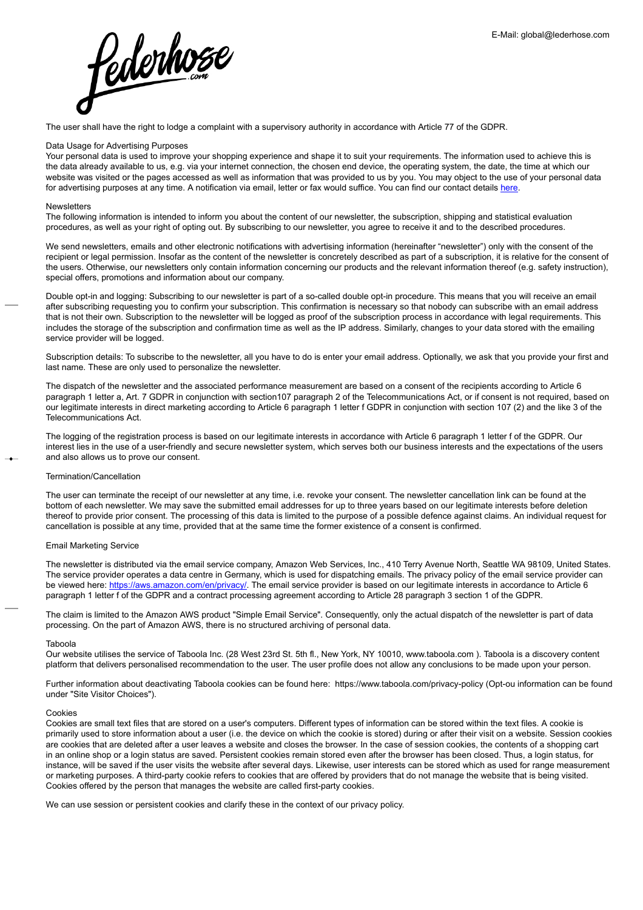

The user shall have the right to lodge a complaint with a supervisory authority in accordance with Article 77 of the GDPR.

# Data Usage for Advertising Purposes

Your personal data is used to improve your shopping experience and shape it to suit your requirements. The information used to achieve this is the data already available to us, e.g. via your internet connection, the chosen end device, the operating system, the date, the time at which our website was visited or the pages accessed as well as information that was provided to us by you. You may object to the use of your personal data for advertising purposes at any time. A notification via email, letter or fax would suffice. You can find our contact details [here](http://https://www.lederhose.com/de-AT/info/kontakt).

# Newsletters

The following information is intended to inform you about the content of our newsletter, the subscription, shipping and statistical evaluation procedures, as well as your right of opting out. By subscribing to our newsletter, you agree to receive it and to the described procedures.

We send newsletters, emails and other electronic notifications with advertising information (hereinafter "newsletter") only with the consent of the recipient or legal permission. Insofar as the content of the newsletter is concretely described as part of a subscription, it is relative for the consent of the users. Otherwise, our newsletters only contain information concerning our products and the relevant information thereof (e.g. safety instruction), special offers, promotions and information about our company.

Double opt-in and logging: Subscribing to our newsletter is part of a so-called double opt-in procedure. This means that you will receive an email after subscribing requesting you to confirm your subscription. This confirmation is necessary so that nobody can subscribe with an email address that is not their own. Subscription to the newsletter will be logged as proof of the subscription process in accordance with legal requirements. This includes the storage of the subscription and confirmation time as well as the IP address. Similarly, changes to your data stored with the emailing service provider will be logged.

Subscription details: To subscribe to the newsletter, all you have to do is enter your email address. Optionally, we ask that you provide your first and last name. These are only used to personalize the newsletter.

The dispatch of the newsletter and the associated performance measurement are based on a consent of the recipients according to Article 6 paragraph 1 letter a, Art. 7 GDPR in conjunction with section107 paragraph 2 of the Telecommunications Act, or if consent is not required, based on our legitimate interests in direct marketing according to Article 6 paragraph 1 letter f GDPR in conjunction with section 107 (2) and the like 3 of the Telecommunications Act.

The logging of the registration process is based on our legitimate interests in accordance with Article 6 paragraph 1 letter f of the GDPR. Our interest lies in the use of a user-friendly and secure newsletter system, which serves both our business interests and the expectations of the users and also allows us to prove our consent.

# Termination/Cancellation

The user can terminate the receipt of our newsletter at any time, i.e. revoke your consent. The newsletter cancellation link can be found at the bottom of each newsletter. We may save the submitted email addresses for up to three years based on our legitimate interests before deletion thereof to provide prior consent. The processing of this data is limited to the purpose of a possible defence against claims. An individual request for cancellation is possible at any time, provided that at the same time the former existence of a consent is confirmed.

# Email Marketing Service

The newsletter is distributed via the email service company, Amazon Web Services, Inc., 410 Terry Avenue North, Seattle WA 98109, United States. The service provider operates a data centre in Germany, which is used for dispatching emails. The privacy policy of the email service provider can be viewed here: [https://aws.amazon.com/en/privacy/](https://aws.amazon.com/privacy/?nc1=h_ls). The email service provider is based on our legitimate interests in accordance to Article 6 paragraph 1 letter f of the GDPR and a contract processing agreement according to Article 28 paragraph 3 section 1 of the GDPR.

The claim is limited to the Amazon AWS product "Simple Email Service". Consequently, only the actual dispatch of the newsletter is part of data processing. On the part of Amazon AWS, there is no structured archiving of personal data.

# Taboola

Our website utilises the service of Taboola Inc. (28 West 23rd St. 5th fl., New York, NY 10010, www.taboola.com ). Taboola is a discovery content platform that delivers personalised recommendation to the user. The user profile does not allow any conclusions to be made upon your person.

Further information about deactivating Taboola cookies can be found here: https://www.taboola.com/privacy-policy (Opt-ou information can be found under "Site Visitor Choices").

# Cookies

Cookies are small text files that are stored on a user's computers. Different types of information can be stored within the text files. A cookie is primarily used to store information about a user (i.e. the device on which the cookie is stored) during or after their visit on a website. Session cookies are cookies that are deleted after a user leaves a website and closes the browser. In the case of session cookies, the contents of a shopping cart in an online shop or a login status are saved. Persistent cookies remain stored even after the browser has been closed. Thus, a login status, for instance, will be saved if the user visits the website after several days. Likewise, user interests can be stored which as used for range measurement or marketing purposes. A third-party cookie refers to cookies that are offered by providers that do not manage the website that is being visited. Cookies offered by the person that manages the website are called first-party cookies.

We can use session or persistent cookies and clarify these in the context of our privacy policy.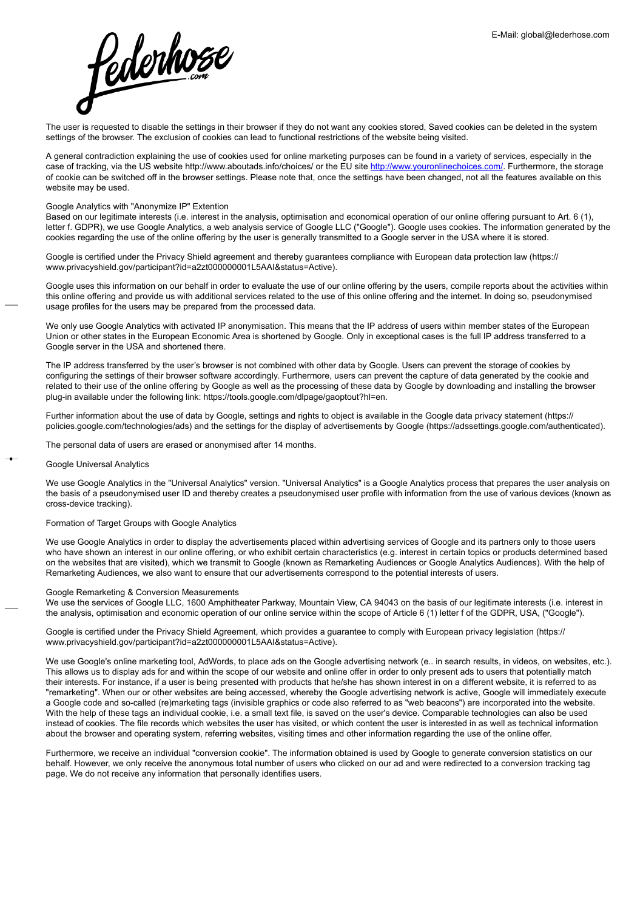

The user is requested to disable the settings in their browser if they do not want any cookies stored, Saved cookies can be deleted in the system settings of the browser. The exclusion of cookies can lead to functional restrictions of the website being visited.

A general contradiction explaining the use of cookies used for online marketing purposes can be found in a variety of services, especially in the case of tracking, via the US website http://www.aboutads.info/choices/ or the EU site [http://www.youronlinechoices.com/](https://www.youronlinechoices.com/). Furthermore, the storage of cookie can be switched off in the browser settings. Please note that, once the settings have been changed, not all the features available on this website may be used.

# Google Analytics with "Anonymize IP" Extention

Based on our legitimate interests (i.e. interest in the analysis, optimisation and economical operation of our online offering pursuant to Art. 6 (1), letter f. GDPR), we use Google Analytics, a web analysis service of Google LLC ("Google"). Google uses cookies. The information generated by the cookies regarding the use of the online offering by the user is generally transmitted to a Google server in the USA where it is stored.

Google is certified under the Privacy Shield agreement and thereby guarantees compliance with European data protection law (https:// www.privacyshield.gov/participant?id=a2zt000000001L5AAI&status=Active).

Google uses this information on our behalf in order to evaluate the use of our online offering by the users, compile reports about the activities within this online offering and provide us with additional services related to the use of this online offering and the internet. In doing so, pseudonymised usage profiles for the users may be prepared from the processed data.

We only use Google Analytics with activated IP anonymisation. This means that the IP address of users within member states of the European Union or other states in the European Economic Area is shortened by Google. Only in exceptional cases is the full IP address transferred to a Google server in the USA and shortened there.

The IP address transferred by the user's browser is not combined with other data by Google. Users can prevent the storage of cookies by configuring the settings of their browser software accordingly. Furthermore, users can prevent the capture of data generated by the cookie and related to their use of the online offering by Google as well as the processing of these data by Google by downloading and installing the browser plug-in available under the following link: https://tools.google.com/dlpage/gaoptout?hl=en.

Further information about the use of data by Google, settings and rights to object is available in the Google data privacy statement (https:// policies.google.com/technologies/ads) and the settings for the display of advertisements by Google (https://adssettings.google.com/authenticated).

The personal data of users are erased or anonymised after 14 months.

# Google Universal Analytics

We use Google Analytics in the "Universal Analytics" version. "Universal Analytics" is a Google Analytics process that prepares the user analysis on the basis of a pseudonymised user ID and thereby creates a pseudonymised user profile with information from the use of various devices (known as cross-device tracking).

# Formation of Target Groups with Google Analytics

We use Google Analytics in order to display the advertisements placed within advertising services of Google and its partners only to those users who have shown an interest in our online offering, or who exhibit certain characteristics (e.g. interest in certain topics or products determined based on the websites that are visited), which we transmit to Google (known as Remarketing Audiences or Google Analytics Audiences). With the help of Remarketing Audiences, we also want to ensure that our advertisements correspond to the potential interests of users.

# Google Remarketing & Conversion Measurements

We use the services of Google LLC, 1600 Amphitheater Parkway, Mountain View, CA 94043 on the basis of our legitimate interests (i.e. interest in the analysis, optimisation and economic operation of our online service within the scope of Article 6 (1) letter f of the GDPR, USA, ("Google").

Google is certified under the Privacy Shield Agreement, which provides a guarantee to comply with European privacy legislation (https:// www.privacyshield.gov/participant?id=a2zt000000001L5AAI&status=Active).

We use Google's online marketing tool, AdWords, to place ads on the Google advertising network (e.. in search results, in videos, on websites, etc.). This allows us to display ads for and within the scope of our website and online offer in order to only present ads to users that potentially match their interests. For instance, if a user is being presented with products that he/she has shown interest in on a different website, it is referred to as "remarketing". When our or other websites are being accessed, whereby the Google advertising network is active, Google will immediately execute a Google code and so-called (re)marketing tags (invisible graphics or code also referred to as "web beacons") are incorporated into the website. With the help of these tags an individual cookie, i.e. a small text file, is saved on the user's device. Comparable technologies can also be used instead of cookies. The file records which websites the user has visited, or which content the user is interested in as well as technical information about the browser and operating system, referring websites, visiting times and other information regarding the use of the online offer.

Furthermore, we receive an individual "conversion cookie". The information obtained is used by Google to generate conversion statistics on our behalf. However, we only receive the anonymous total number of users who clicked on our ad and were redirected to a conversion tracking tag page. We do not receive any information that personally identifies users.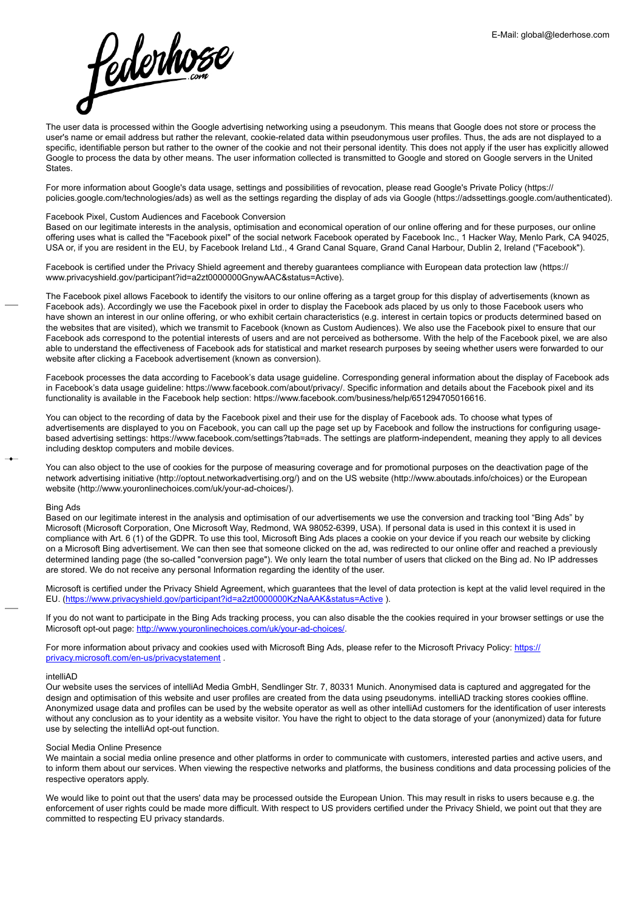

The user data is processed within the Google advertising networking using a pseudonym. This means that Google does not store or process the user's name or email address but rather the relevant, cookie-related data within pseudonymous user profiles. Thus, the ads are not displayed to a specific, identifiable person but rather to the owner of the cookie and not their personal identity. This does not apply if the user has explicitly allowed Google to process the data by other means. The user information collected is transmitted to Google and stored on Google servers in the United **States** 

For more information about Google's data usage, settings and possibilities of revocation, please read Google's Private Policy (https:// policies.google.com/technologies/ads) as well as the settings regarding the display of ads via Google (https://adssettings.google.com/authenticated).

# Facebook Pixel, Custom Audiences and Facebook Conversion

Based on our legitimate interests in the analysis, optimisation and economical operation of our online offering and for these purposes, our online offering uses what is called the "Facebook pixel" of the social network Facebook operated by Facebook Inc., 1 Hacker Way, Menlo Park, CA 94025, USA or, if you are resident in the EU, by Facebook Ireland Ltd., 4 Grand Canal Square, Grand Canal Harbour, Dublin 2, Ireland ("Facebook").

Facebook is certified under the Privacy Shield agreement and thereby guarantees compliance with European data protection law (https:// www.privacyshield.gov/participant?id=a2zt0000000GnywAAC&status=Active).

The Facebook pixel allows Facebook to identify the visitors to our online offering as a target group for this display of advertisements (known as Facebook ads). Accordingly we use the Facebook pixel in order to display the Facebook ads placed by us only to those Facebook users who have shown an interest in our online offering, or who exhibit certain characteristics (e.g. interest in certain topics or products determined based on the websites that are visited), which we transmit to Facebook (known as Custom Audiences). We also use the Facebook pixel to ensure that our Facebook ads correspond to the potential interests of users and are not perceived as bothersome. With the help of the Facebook pixel, we are also able to understand the effectiveness of Facebook ads for statistical and market research purposes by seeing whether users were forwarded to our website after clicking a Facebook advertisement (known as conversion).

Facebook processes the data according to Facebook's data usage guideline. Corresponding general information about the display of Facebook ads in Facebook's data usage guideline: https://www.facebook.com/about/privacy/. Specific information and details about the Facebook pixel and its functionality is available in the Facebook help section: https://www.facebook.com/business/help/651294705016616.

You can object to the recording of data by the Facebook pixel and their use for the display of Facebook ads. To choose what types of advertisements are displayed to you on Facebook, you can call up the page set up by Facebook and follow the instructions for configuring usagebased advertising settings: https://www.facebook.com/settings?tab=ads. The settings are platform-independent, meaning they apply to all devices including desktop computers and mobile devices.

You can also object to the use of cookies for the purpose of measuring coverage and for promotional purposes on the deactivation page of the network advertising initiative (http://optout.networkadvertising.org/) and on the US website (http://www.aboutads.info/choices) or the European website (http://www.youronlinechoices.com/uk/your-ad-choices/).

#### Bing Ads

Based on our legitimate interest in the analysis and optimisation of our advertisements we use the conversion and tracking tool "Bing Ads" by Microsoft (Microsoft Corporation, One Microsoft Way, Redmond, WA 98052-6399, USA). If personal data is used in this context it is used in compliance with Art. 6 (1) of the GDPR. To use this tool, Microsoft Bing Ads places a cookie on your device if you reach our website by clicking on a Microsoft Bing advertisement. We can then see that someone clicked on the ad, was redirected to our online offer and reached a previously determined landing page (the so-called "conversion page"). We only learn the total number of users that clicked on the Bing ad. No IP addresses are stored. We do not receive any personal Information regarding the identity of the user.

Microsoft is certified under the Privacy Shield Agreement, which guarantees that the level of data protection is kept at the valid level required in the EU. (<https://www.privacyshield.gov/participant?id=a2zt0000000KzNaAAK&status=Active> ).

If you do not want to participate in the Bing Ads tracking process, you can also disable the the cookies required in your browser settings or use the Microsoft opt-out page: [http://www.youronlinechoices.com/uk/your-ad-choices/.](http://www.youronlinechoices.com/uk/your-ad-choices/)

For more information about privacy and cookies used with Microsoft Bing Ads, please refer to the Microsoft Privacy Policy: [https://](https://privacy.microsoft.com/de-de/privacystatement) [privacy.microsoft.com/en-us/privacystatement](https://privacy.microsoft.com/de-de/privacystatement) .

#### intelliAD

Our website uses the services of intelliAd Media GmbH, Sendlinger Str. 7, 80331 Munich. Anonymised data is captured and aggregated for the design and optimisation of this website and user profiles are created from the data using pseudonyms. intelliAD tracking stores cookies offline. Anonymized usage data and profiles can be used by the website operator as well as other intelliAd customers for the identification of user interests without any conclusion as to your identity as a website visitor. You have the right to object to the data storage of your (anonymized) data for future use by selecting the intelliAd opt-out function.

# Social Media Online Presence

We maintain a social media online presence and other platforms in order to communicate with customers, interested parties and active users, and to inform them about our services. When viewing the respective networks and platforms, the business conditions and data processing policies of the respective operators apply.

We would like to point out that the users' data may be processed outside the European Union. This may result in risks to users because e.g. the enforcement of user rights could be made more difficult. With respect to US providers certified under the Privacy Shield, we point out that they are committed to respecting EU privacy standards.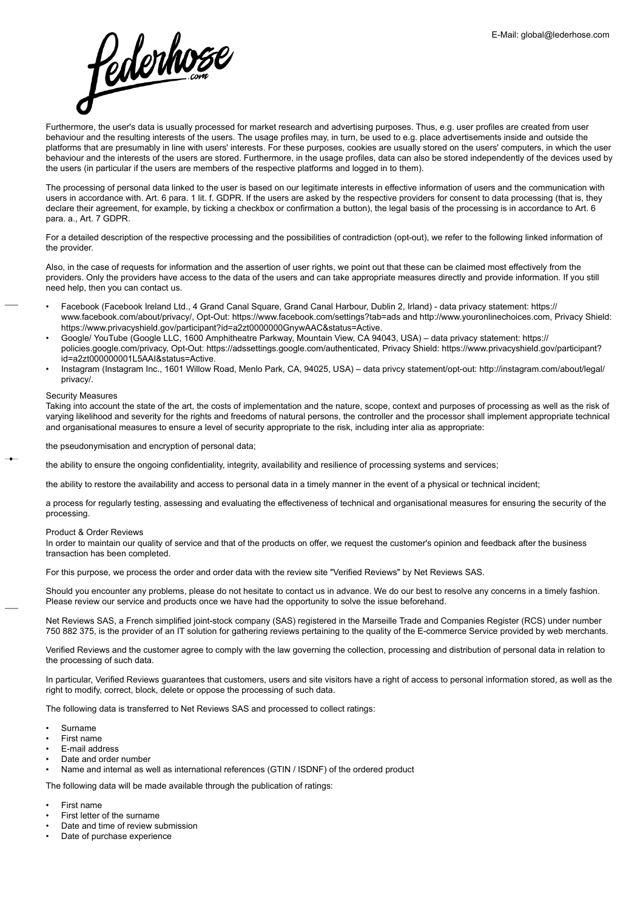

Furthermore, the user's data is usually processed for market research and advertising purposes. Thus, e.g. user profiles are created from user behaviour and the resulting interests of the users. The usage profiles may, in turn, be used to e.g. place advertisements inside and outside the platforms that are presumably in line with users' interests. For these purposes, cookies are usually stored on the users' computers, in which the user behaviour and the interests of the users are stored. Furthermore, in the usage profiles, data can also be stored independently of the devices used by the users (in particular if the users are members of the respective platforms and logged in to them).

The processing of personal data linked to the user is based on our legitimate interests in effective information of users and the communication with users in accordance with. Art. 6 para. 1 lit. f. GDPR. If the users are asked by the respective providers for consent to data processing (that is, they declare their agreement, for example, by ticking a checkbox or confirmation a button), the legal basis of the processing is in accordance to Art. 6 para. a., Art. 7 GDPR.

For a detailed description of the respective processing and the possibilities of contradiction (opt-out), we refer to the following linked information of the provider.

Also, in the case of requests for information and the assertion of user rights, we point out that these can be claimed most effectively from the providers. Only the providers have access to the data of the users and can take appropriate measures directly and provide information. If you still need help, then you can contact us.

- Facebook (Facebook Ireland Ltd., 4 Grand Canal Square, Grand Canal Harbour, Dublin 2, Irland) data privacy statement: https:// www.facebook.com/about/privacy/, Opt-Out: https://www.facebook.com/settings?tab=ads and http://www.youronlinechoices.com, Privacy Shield: https://www.privacyshield.gov/participant?id=a2zt0000000GnywAAC&status=Active.
- Google/ YouTube (Google LLC, 1600 Amphitheatre Parkway, Mountain View, CA 94043, USA) data privacy statement: https:// policies.google.com/privacy, Opt-Out: https://adssettings.google.com/authenticated, Privacy Shield: https://www.privacyshield.gov/participant? id=a2zt000000001L5AAI&status=Active.
- Instagram (Instagram Inc., 1601 Willow Road, Menlo Park, CA, 94025, USA) data privcy statement/opt-out: http://instagram.com/about/legal/ privacy/.

# Security Measures

Taking into account the state of the art, the costs of implementation and the nature, scope, context and purposes of processing as well as the risk of varying likelihood and severity for the rights and freedoms of natural persons, the controller and the processor shall implement appropriate technical and organisational measures to ensure a level of security appropriate to the risk, including inter alia as appropriate:

the pseudonymisation and encryption of personal data;

the ability to ensure the ongoing confidentiality, integrity, availability and resilience of processing systems and services;

the ability to restore the availability and access to personal data in a timely manner in the event of a physical or technical incident;

a process for regularly testing, assessing and evaluating the effectiveness of technical and organisational measures for ensuring the security of the processing.

# Product & Order Reviews

In order to maintain our quality of service and that of the products on offer, we request the customer's opinion and feedback after the business transaction has been completed.

For this purpose, we process the order and order data with the review site "Verified Reviews" by Net Reviews SAS.

Should you encounter any problems, please do not hesitate to contact us in advance. We do our best to resolve any concerns in a timely fashion. Please review our service and products once we have had the opportunity to solve the issue beforehand.

Net Reviews SAS, a French simplified joint-stock company (SAS) registered in the Marseille Trade and Companies Register (RCS) under number 750 882 375, is the provider of an IT solution for gathering reviews pertaining to the quality of the E-commerce Service provided by web merchants.

Verified Reviews and the customer agree to comply with the law governing the collection, processing and distribution of personal data in relation to the processing of such data.

In particular, Verified Reviews guarantees that customers, users and site visitors have a right of access to personal information stored, as well as the right to modify, correct, block, delete or oppose the processing of such data.

The following data is transferred to Net Reviews SAS and processed to collect ratings:

- Surname
- First name
- E-mail address
- Date and order number
- Name and internal as well as international references (GTIN / ISDNF) of the ordered product

The following data will be made available through the publication of ratings:

- First name
- First letter of the surname
- Date and time of review submission
- Date of purchase experience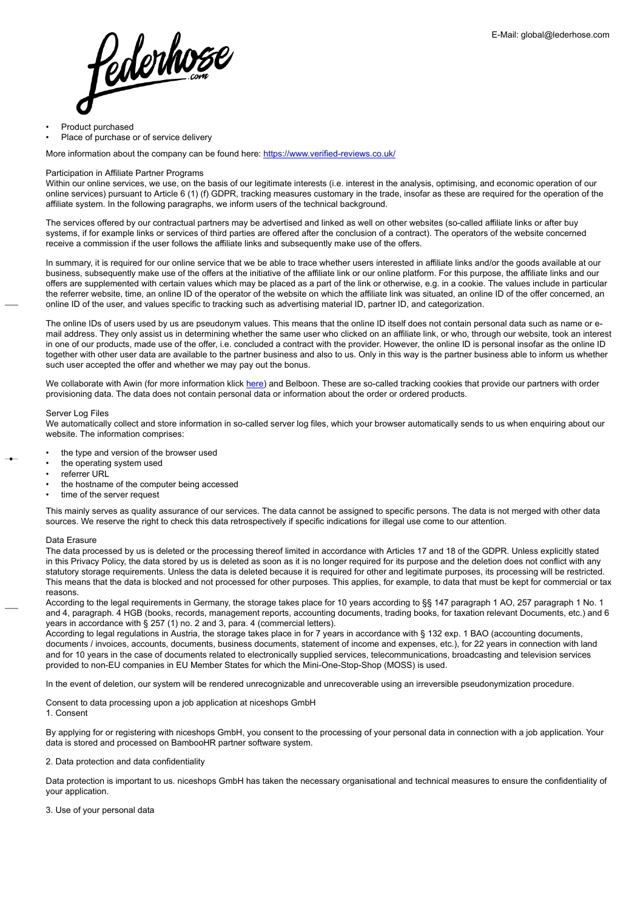

- Product purchased
- Place of purchase or of service delivery

More information about the company can be found here: <https://www.verified-reviews.co.uk/>

#### Participation in Affiliate Partner Programs

Within our online services, we use, on the basis of our legitimate interests (i.e. interest in the analysis, optimising, and economic operation of our online services) pursuant to Article 6 (1) (f) GDPR, tracking measures customary in the trade, insofar as these are required for the operation of the affiliate system. In the following paragraphs, we inform users of the technical background.

The services offered by our contractual partners may be advertised and linked as well on other websites (so-called affiliate links or after buy systems, if for example links or services of third parties are offered after the conclusion of a contract). The operators of the website concerned receive a commission if the user follows the affiliate links and subsequently make use of the offers.

In summary, it is required for our online service that we be able to trace whether users interested in affiliate links and/or the goods available at our business, subsequently make use of the offers at the initiative of the affiliate link or our online platform. For this purpose, the affiliate links and our offers are supplemented with certain values which may be placed as a part of the link or otherwise, e.g. in a cookie. The values include in particular the referrer website, time, an online ID of the operator of the website on which the affiliate link was situated, an online ID of the offer concerned, an online ID of the user, and values specific to tracking such as advertising material ID, partner ID, and categorization.

The online IDs of users used by us are pseudonym values. This means that the online ID itself does not contain personal data such as name or email address. They only assist us in determining whether the same user who clicked on an affiliate link, or who, through our website, took an interest in one of our products, made use of the offer, i.e. concluded a contract with the provider. However, the online ID is personal insofar as the online ID together with other user data are available to the partner business and also to us. Only in this way is the partner business able to inform us whether such user accepted the offer and whether we may pay out the bonus.

We collaborate with Awin (for more information klick [here\)](#page-0-0) and Belboon. These are so-called tracking cookies that provide our partners with order provisioning data. The data does not contain personal data or information about the order or ordered products.

#### Server Log Files

We automatically collect and store information in so-called server log files, which your browser automatically sends to us when enquiring about our website. The information comprises:

- the type and version of the browser used
- the operating system used
- referrer URL
- the hostname of the computer being accessed
- time of the server request

This mainly serves as quality assurance of our services. The data cannot be assigned to specific persons. The data is not merged with other data sources. We reserve the right to check this data retrospectively if specific indications for illegal use come to our attention.

# Data Erasure

The data processed by us is deleted or the processing thereof limited in accordance with Articles 17 and 18 of the GDPR. Unless explicitly stated in this Privacy Policy, the data stored by us is deleted as soon as it is no longer required for its purpose and the deletion does not conflict with any statutory storage requirements. Unless the data is deleted because it is required for other and legitimate purposes, its processing will be restricted. This means that the data is blocked and not processed for other purposes. This applies, for example, to data that must be kept for commercial or tax reasons.

According to the legal requirements in Germany, the storage takes place for 10 years according to §§ 147 paragraph 1 AO, 257 paragraph 1 No. 1 and 4, paragraph. 4 HGB (books, records, management reports, accounting documents, trading books, for taxation relevant Documents, etc.) and 6 years in accordance with § 257 (1) no. 2 and 3, para. 4 (commercial letters).

According to legal regulations in Austria, the storage takes place in for 7 years in accordance with § 132 exp. 1 BAO (accounting documents, documents / invoices, accounts, documents, business documents, statement of income and expenses, etc.), for 22 years in connection with land and for 10 years in the case of documents related to electronically supplied services, telecommunications, broadcasting and television services provided to non-EU companies in EU Member States for which the Mini-One-Stop-Shop (MOSS) is used.

In the event of deletion, our system will be rendered unrecognizable and unrecoverable using an irreversible pseudonymization procedure.

Consent to data processing upon a job application at niceshops GmbH 1. Consent

By applying for or registering with niceshops GmbH, you consent to the processing of your personal data in connection with a job application. Your data is stored and processed on BambooHR partner software system.

2. Data protection and data confidentiality

Data protection is important to us. niceshops GmbH has taken the necessary organisational and technical measures to ensure the confidentiality of your application.

3. Use of your personal data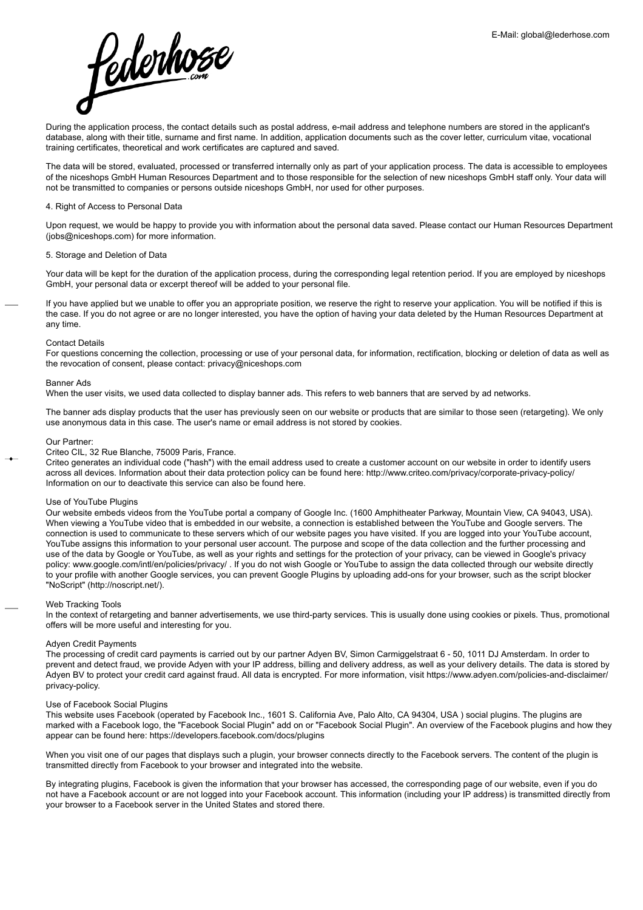

During the application process, the contact details such as postal address, e-mail address and telephone numbers are stored in the applicant's database, along with their title, surname and first name. In addition, application documents such as the cover letter, curriculum vitae, vocational training certificates, theoretical and work certificates are captured and saved.

The data will be stored, evaluated, processed or transferred internally only as part of your application process. The data is accessible to employees of the niceshops GmbH Human Resources Department and to those responsible for the selection of new niceshops GmbH staff only. Your data will not be transmitted to companies or persons outside niceshops GmbH, nor used for other purposes.

# 4. Right of Access to Personal Data

Upon request, we would be happy to provide you with information about the personal data saved. Please contact our Human Resources Department (jobs@niceshops.com) for more information.

# 5. Storage and Deletion of Data

Your data will be kept for the duration of the application process, during the corresponding legal retention period. If you are employed by niceshops GmbH, your personal data or excerpt thereof will be added to your personal file.

If you have applied but we unable to offer you an appropriate position, we reserve the right to reserve your application. You will be notified if this is the case. If you do not agree or are no longer interested, you have the option of having your data deleted by the Human Resources Department at any time.

# Contact Details

For questions concerning the collection, processing or use of your personal data, for information, rectification, blocking or deletion of data as well as the revocation of consent, please contact: privacy@niceshops.com

# Banner Ads

When the user visits, we used data collected to display banner ads. This refers to web banners that are served by ad networks.

The banner ads display products that the user has previously seen on our website or products that are similar to those seen (retargeting). We only use anonymous data in this case. The user's name or email address is not stored by cookies.

#### Our Partner:

Criteo CIL, 32 Rue Blanche, 75009 Paris, France.

Criteo generates an individual code ("hash") with the email address used to create a customer account on our website in order to identify users across all devices. Information about their data protection policy can be found here: http://www.criteo.com/privacy/corporate-privacy-policy/ Information on our to deactivate this service can also be found here.

# Use of YouTube Plugins

Our website embeds videos from the YouTube portal a company of Google Inc. (1600 Amphitheater Parkway, Mountain View, CA 94043, USA). When viewing a YouTube video that is embedded in our website, a connection is established between the YouTube and Google servers. The connection is used to communicate to these servers which of our website pages you have visited. If you are logged into your YouTube account, YouTube assigns this information to your personal user account. The purpose and scope of the data collection and the further processing and use of the data by Google or YouTube, as well as your rights and settings for the protection of your privacy, can be viewed in Google's privacy policy: www.google.com/intl/en/policies/privacy/ . If you do not wish Google or YouTube to assign the data collected through our website directly to your profile with another Google services, you can prevent Google Plugins by uploading add-ons for your browser, such as the script blocker "NoScript" (http://noscript.net/).

# Web Tracking Tools

In the context of retargeting and banner advertisements, we use third-party services. This is usually done using cookies or pixels. Thus, promotional offers will be more useful and interesting for you.

# Adyen Credit Payments

The processing of credit card payments is carried out by our partner Adyen BV, Simon Carmiggelstraat 6 - 50, 1011 DJ Amsterdam. In order to prevent and detect fraud, we provide Adyen with your IP address, billing and delivery address, as well as your delivery details. The data is stored by Adyen BV to protect your credit card against fraud. All data is encrypted. For more information, visit https://www.adyen.com/policies-and-disclaimer/ privacy-policy.

# Use of Facebook Social Plugins

This website uses Facebook (operated by Facebook Inc., 1601 S. California Ave, Palo Alto, CA 94304, USA ) social plugins. The plugins are marked with a Facebook logo, the "Facebook Social Plugin" add on or "Facebook Social Plugin". An overview of the Facebook plugins and how they appear can be found here: https://developers.facebook.com/docs/plugins

When you visit one of our pages that displays such a plugin, your browser connects directly to the Facebook servers. The content of the plugin is transmitted directly from Facebook to your browser and integrated into the website.

By integrating plugins, Facebook is given the information that your browser has accessed, the corresponding page of our website, even if you do not have a Facebook account or are not logged into your Facebook account. This information (including your IP address) is transmitted directly from your browser to a Facebook server in the United States and stored there.